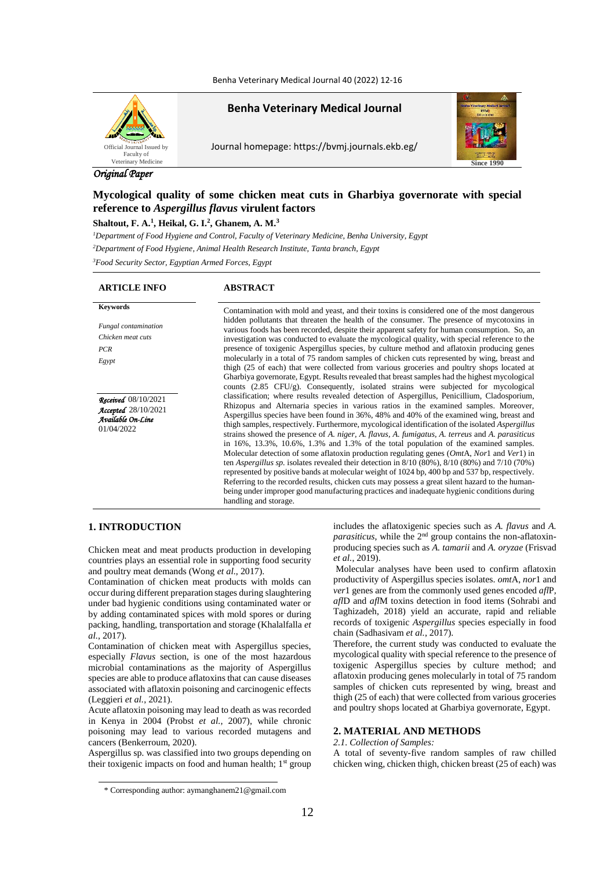Benha Veterinary Medical Journal 40 (2022) 12-16



**Benha Veterinary Medical Journal**

Journal homepage: https://bvmj.journals.ekb.eg/



# *Original Paper*

# **Mycological quality of some chicken meat cuts in Gharbiya governorate with special reference to** *Aspergillus flavus* **virulent factors**

## **Shaltout, F. A.<sup>1</sup> , Heikal, G. I.<sup>2</sup> , Ghanem, A. M.<sup>3</sup>**

*<sup>1</sup>Department of Food Hygiene and Control, Faculty of Veterinary Medicine, Benha University, Egypt*

*<sup>2</sup>Department of Food Hygiene, Animal Health Research Institute, Tanta branch, Egypt*

*<sup>3</sup>Food Security Sector, Egyptian Armed Forces, Egypt*

## **ARTICLE INFO ABSTRACT**

| <b>Fungal</b> contamination |
|-----------------------------|
| Chicken meat cuts           |
| PCR                         |
| Egypt                       |

*Received*08/10/2021 *Accepted*28/10/2021 *Available On-Line* 01/04/2022

**Keywords** Contamination with mold and yeast, and their toxins is considered one of the most dangerous hidden pollutants that threaten the health of the consumer. The presence of mycotoxins in various foods has been recorded, despite their apparent safety for human consumption. So, an investigation was conducted to evaluate the mycological quality, with special reference to the presence of toxigenic Aspergillus species, by culture method and aflatoxin producing genes molecularly in a total of 75 random samples of chicken cuts represented by wing, breast and thigh (25 of each) that were collected from various groceries and poultry shops located at Gharbiya governorate, Egypt. Results revealed that breast samples had the highest mycological counts (2.85 CFU/g). Consequently, isolated strains were subjected for mycological classification; where results revealed detection of Aspergillus, Penicillium, Cladosporium, Rhizopus and Alternaria species in various ratios in the examined samples. Moreover, Aspergillus species have been found in 36%, 48% and 40% of the examined wing, breast and thigh samples, respectively. Furthermore, mycological identification of the isolated *Aspergillus* strains showed the presence of *A. niger, A. flavus*, *A. fumigatus*, *A. terreus* and *A. parasiticus* in 16%, 13.3%, 10.6%, 1.3% and 1.3% of the total population of the examined samples. Molecular detection of some aflatoxin production regulating genes (*Omt*A, *Nor*1 and *Ver*1) in ten *Aspergillus sp.* isolates revealed their detection in 8/10 (80%), 8/10 (80%) and 7/10 (70%) represented by positive bands at molecular weight of 1024 bp, 400 bp and 537 bp, respectively. Referring to the recorded results, chicken cuts may possess a great silent hazard to the humanbeing under improper good manufacturing practices and inadequate hygienic conditions during handling and storage.

## **1. INTRODUCTION**

Chicken meat and meat products production in developing countries plays an essential role in supporting food security and poultry meat demands (Wong *et al.*, 2017).

Contamination of chicken meat products with molds can occur during different preparation stages during slaughtering under bad hygienic conditions using contaminated water or by adding contaminated spices with mold spores or during packing, handling, transportation and storage (Khalalfalla *et al.*, 2017).

Contamination of chicken meat with Aspergillus species, especially *Flavus* section, is one of the most hazardous microbial contaminations as the majority of Aspergillus species are able to produce aflatoxins that can cause diseases associated with aflatoxin poisoning and carcinogenic effects (Leggieri *et al.*, 2021).

Acute aflatoxin poisoning may lead to death as was recorded in Kenya in 2004 (Probst *et al.*, 2007), while chronic poisoning may lead to various recorded mutagens and cancers (Benkerroum, 2020).

Aspergillus sp*.* was classified into two groups depending on their toxigenic impacts on food and human health;  $1<sup>st</sup>$  group includes the aflatoxigenic species such as *A. flavus* and *A. parasiticus*, while the 2<sup>nd</sup> group contains the non-aflatoxinproducing species such as *A. tamarii* and *A. oryzae* (Frisvad *et al.*, 2019).

Molecular analyses have been used to confirm aflatoxin productivity of Aspergillus species isolates. *omt*A, *nor*1 and *ver*1 genes are from the commonly used genes encoded *afl*P*, afl*D and *afl*M toxins detection in food items (Sohrabi and Taghizadeh, 2018) yield an accurate, rapid and reliable records of toxigenic *Aspergillus* species especially in food chain (Sadhasivam *et al.*, 2017).

Therefore, the current study was conducted to evaluate the mycological quality with special reference to the presence of toxigenic Aspergillus species by culture method; and aflatoxin producing genes molecularly in total of 75 random samples of chicken cuts represented by wing, breast and thigh (25 of each) that were collected from various groceries and poultry shops located at Gharbiya governorate, Egypt.

## **2. MATERIAL AND METHODS**

#### *2.1. Collection of Samples:*

A total of seventy-five random samples of raw chilled chicken wing, chicken thigh, chicken breast (25 of each) was

<sup>\*</sup> Corresponding author: aymanghanem21@gmail.com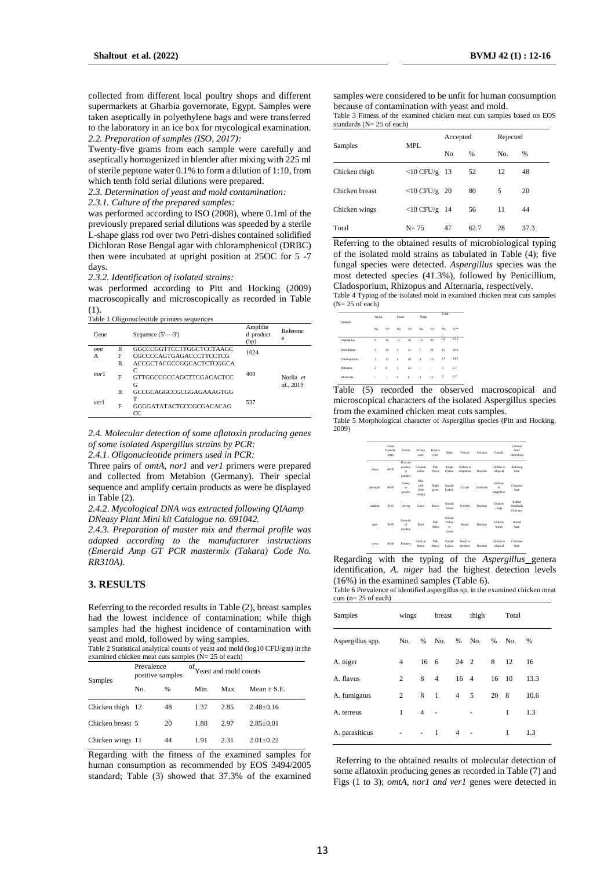collected from different local poultry shops and different supermarkets at Gharbia governorate, Egypt. Samples were taken aseptically in polyethylene bags and were transferred to the laboratory in an ice box for mycological examination. *2.2. Preparation of samples (ISO, 2017):*

Twenty-five grams from each sample were carefully and aseptically homogenized in blender after mixing with 225 ml of sterile peptone water 0.1% to form a dilution of 1:10, from which tenth fold serial dilutions were prepared.

*2.3. Determination of yeast and mold contamination:*

*2.3.1. Culture of the prepared samples:*

was performed according to ISO (2008), where 0.1ml of the previously prepared serial dilutions was speeded by a sterile L-shape glass rod over two Petri-dishes contained solidified Dichloran Rose Bengal agar with chloramphenicol (DRBC) then were incubated at upright position at 25OC for 5 -7 days.

#### *2.3.2. Identification of isolated strains:*

was performed according to Pitt and Hocking (2009) macroscopically and microscopically as recorded in Table (1).

Table 1 Oligonucleotide primers sequences

| Gene |   | Sequence $(5'---3')$               | Amplifie<br>d product<br>(bp) | Referenc<br>e          |
|------|---|------------------------------------|-------------------------------|------------------------|
| omt  | R | GGCCCGGTTCCTTGGCTCCTAAGC           | 1024                          |                        |
| А    | F | CGCCCCAGTGAGACCCTTCCTCG            |                               |                        |
|      | R | ACCGCTACGCCGGCACTCTCGGCA           |                               |                        |
| nor1 | F | C<br>GTTGGCCGCCAGCTTCGACACTCC<br>G | 400                           | Norlia et<br>al., 2019 |
|      | R | GCCGCAGGCCGCGGAGAAAGTGG            |                               |                        |
| ver1 | F | т<br>GGGGATATACTCCCGCGACACAG<br>CC | 537                           |                        |

*2.4. Molecular detection of some aflatoxin producing genes of some isolated Aspergillus strains by PCR:*

*2.4.1*. *Oligonucleotide primers used in PCR:*

Three pairs of *omtA, nor1* and *ver1* primers were prepared and collected from Metabion (Germany). Their special sequence and amplify certain products as were be displayed in Table (2).

*2.4.2*. *Mycological DNA was extracted following QIAamp DNeasy Plant Mini kit Catalogue no. 691042.*

*2.4.3. Preparation of master mix and thermal profile was adapted according to the manufacturer instructions (Emerald Amp GT PCR mastermix (Takara) Code No. RR310A).*

## **3. RESULTS**

Referring to the recorded results in Table (2), breast samples had the lowest incidence of contamination; while thigh samples had the highest incidence of contamination with yeast and mold, followed by wing samples.

Table 2 Statistical analytical counts of yeast and mold (log10 CFU/gm) in the examined chicken meat cuts samples (N= 25 of each)

| Samples          | Prevalence<br>positive samples |    | <sup>of</sup> Yeast and mold counts |      |               |
|------------------|--------------------------------|----|-------------------------------------|------|---------------|
|                  | No.                            | %  | Min.                                | Max. | $Mean + S.E.$ |
| Chicken thigh 12 |                                | 48 | 1.37                                | 2.85 | $2.48 + 0.16$ |
| Chicken breast 5 |                                | 20 | 1.88                                | 2.97 | $2.85+0.01$   |
| Chicken wings 11 |                                | 44 | 1.91                                | 2.31 | $2.01 + 0.22$ |

Regarding with the fitness of the examined samples for human consumption as recommended by EOS 3494/2005 standard; Table (3) showed that 37.3% of the examined

samples were considered to be unfit for human consumption because of contamination with yeast and mold.

Table 3 Fitness of the examined chicken meat cuts samples based on EOS standards (N= 25 of each)

| Samples        | MPL             | Accepted       |               | Rejected |               |  |
|----------------|-----------------|----------------|---------------|----------|---------------|--|
|                |                 | N <sub>0</sub> | $\frac{9}{6}$ | No.      | $\frac{9}{6}$ |  |
| Chicken thigh  | $<$ 10 CFU/g 13 |                | 52            | 12       | 48            |  |
| Chicken breast | $<$ 10 CFU/g 20 |                | 80            | 5        | 20            |  |
| Chicken wings  | $<$ 10 CFU/g 14 |                | 56            | 11       | 44            |  |
| Total          | $N = 75$        | 47             | 62.7          | 28       | 37.3          |  |

Referring to the obtained results of microbiological typing of the isolated mold strains as tabulated in Table (4); five fungal species were detected. *Aspergillus* species was the most detected species (41.3%), followed by Penicillium, Cladosporium, Rhizopus and Alternaria, respectively.

Table 4 Typing of the isolated mold in examined chicken meat cuts samples  $(N= 25$  of each)

| Samples<br>Aspergillus<br>Penicillium<br>Cladosporium<br>Rhizopus<br>Alternaria | Wings                   |          | breast         |    | Thich                    |    | Total |         |
|---------------------------------------------------------------------------------|-------------------------|----------|----------------|----|--------------------------|----|-------|---------|
|                                                                                 | No                      | %*       | No             | %  | No                       | %* | No    | $^{46}$ |
|                                                                                 | 9                       | 36       | 12             | 48 | 10                       | 40 | 31    | 41.3    |
|                                                                                 | 5                       | 20       | $\overline{3}$ | 12 | $\overline{\phantom{a}}$ | 28 | 15    | 20.0    |
|                                                                                 | $\overline{\mathbf{3}}$ | 12       | $\ddot{4}$     | 16 | $\Delta$                 | 16 | 11    | 14.7    |
|                                                                                 | $\overline{2}$          | 8        | $\overline{3}$ | 12 | ×                        | ×. | 5     | 6.7     |
|                                                                                 | ×                       | $\alpha$ | $\overline{2}$ | 8  | $\overline{3}$           | 12 | 5     | 6.7     |
|                                                                                 |                         |          |                |    |                          |    |       |         |

Table (5) recorded the observed macroscopical and microscopical characters of the isolated Aspergillus species from the examined chicken meat cuts samples.

Table 5 Morphological character of Aspergillus species (Pitt and Hocking, 2009)

|           | Colony<br>Diameter<br>(mm) | Texture                               | Surface<br>color                       | Reverse<br>color | <b>Stines</b>                             | Vesicles                 | Seriation         | Conifia                      | Colonial<br>bead/<br>cleistotheca          |
|-----------|----------------------------|---------------------------------------|----------------------------------------|------------------|-------------------------------------------|--------------------------|-------------------|------------------------------|--------------------------------------------|
| flavus    | 65.70                      | Floccose<br>powdery<br>or<br>granular | Greenish<br>vellow                     | Pale<br>brown    | Rough<br>hvaline                          | Globose or<br>subelobose | Biseriate         | Globose to<br>ellipsoid      | Radiating<br>head                          |
| famaiguts | 40-70                      | Vevety<br>to<br>powder                | <b>Rhie</b><br>with<br>white<br>margin | Slight<br>green  | Smooth<br>hvaline                         | Clavate                  | <b>Hologriphe</b> | Globose<br>or.<br>subelobose | Columner<br>head                           |
| nidulane  | 50.65                      | Velvetv                               | Green                                  | Brown            | Smooth<br>brown                           | Pyriform                 | Biseriate         | Globose<br>rough             | Radiate<br><b>Head bulla</b><br>Cells ascs |
| niger     | 50.70                      | Granular<br>of<br>powdery             | Black                                  | Pale<br>yellow   | Smooth<br>Yellow<br>$\mathbf{f}$<br>brown | Round                    | Riveriate         | Globose<br>brown             | Round<br>head                              |
| terrare   | 40.60                      | Powdery                               | Sandy to<br>brown                      | Pale<br>herwin   | Smooth<br>hvaline                         | Round to<br>pyriform     | Biseriate         | Globose to<br>ellipsiod      | Columner<br>head                           |

Regarding with the typing of the *Aspergillus* genera identification, *A. niger* had the highest detection levels (16%) in the examined samples (Table 6).

Table 6 Prevalence of identified aspergillus sp. in the examined chicken meat cuts (n= 25 of each)

| Samples          | wings |                          | breast         |                              | thigh |       | Total |      |
|------------------|-------|--------------------------|----------------|------------------------------|-------|-------|-------|------|
| Aspergillus spp. | No.   | % No.                    |                | % No.                        |       | %     | No.   | $\%$ |
| A. niger         | 4     | 16 6                     |                | 24 2                         |       | 8     | 12    | 16   |
| A. flavus        | 2     | 8                        | $\overline{4}$ | 16 4                         |       | 16 10 |       | 13.3 |
| A. fumigatus     | 2     | 8<br>$\overline{1}$      |                | $4\quad 5$                   |       | 20 8  |       | 10.6 |
| A. terreus       | 1     | $\overline{4}$           |                |                              | ٠     |       | 1     | 1.3  |
| A. parasiticus   | ٠     | $\overline{\phantom{a}}$ | 1              | $\overline{4}$<br>$\sim$ $-$ |       |       | 1     | 1.3  |

Referring to the obtained results of molecular detection of some aflatoxin producing genes as recorded in Table (7) and Figs (1 to 3); *omtA, nor1 and ver1* genes were detected in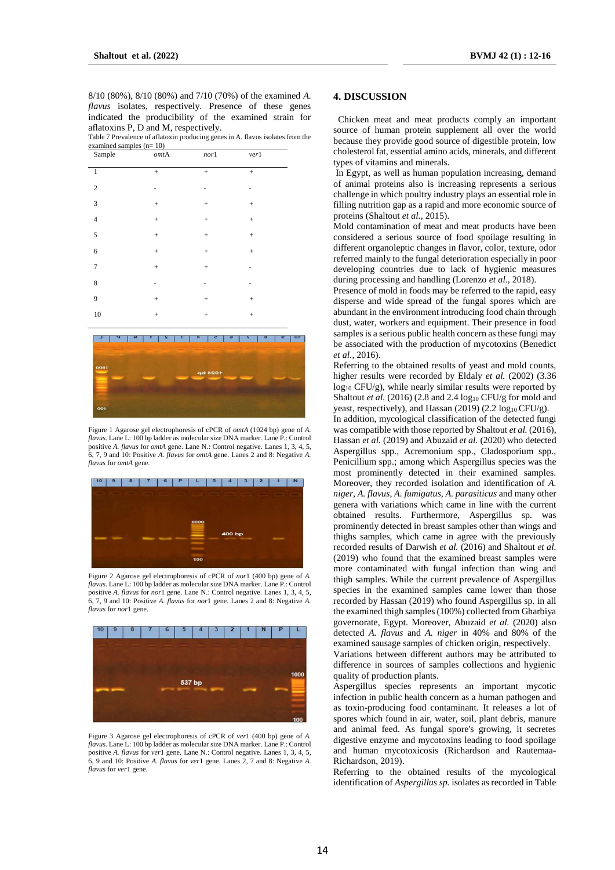8/10 (80%), 8/10 (80%) and 7/10 (70%) of the examined *A. flavus* isolates, respectively. Presence of these genes indicated the producibility of the examined strain for aflatoxins P, D and M, respectively.

Table 7 Prevalence of aflatoxin producing genes in A. flavus isolates from the examined samples (n= 10)

| Sample         | $\emph{omt}$ A | nor1            | verl      |  |
|----------------|----------------|-----------------|-----------|--|
| $\mathbf{1}$   | $\! + \!$      | $\! + \!$       | $\! + \!$ |  |
| $\overline{2}$ | ٠              | -               | -         |  |
| 3              | $\! + \!$      | $\! + \!$       | $\! + \!$ |  |
| $\sqrt{4}$     | $\! + \!$      | $\! + \!\!\!\!$ | $\! + \!$ |  |
| $\mathfrak s$  | $^{+}$         | $^{+}$          | $\! + \!$ |  |
| $\sqrt{6}$     | $\! + \!$      | $\! + \!$       | $\! + \!$ |  |
| $\tau$         | $\! + \!$      | $\! + \!$       | ٠         |  |
| $\,$ 8 $\,$    | ٠              | ٠               | -         |  |
| 9              | $\! + \!$      | $\! + \!$       | $\! + \!$ |  |
| $10\,$         | $\! + \!$      | $\! + \!\!\!\!$ | $\! + \!$ |  |
|                |                |                 |           |  |



Figure 1 Agarose gel electrophoresis of cPCR of *omtA* (1024 bp) gene of *A. flavus*. Lane L: 100 bp ladder as molecular size DNA marker. Lane P.: Control positive *A. flavus* for *omtA* gene. Lane N.: Control negative. Lanes 1, 3, 4, 5, 6, 7, 9 and 10: Positive *A. flavus* for *omtA* gene. Lanes 2 and 8: Negative *A. flavus* for *omtA* gene.



Figure 2 Agarose gel electrophoresis of cPCR of *nor*1 (400 bp) gene of *A. flavus*. Lane L: 100 bp ladder as molecular size DNA marker. Lane P.: Control positive *A. flavus* for *nor*1 gene. Lane N.: Control negative. Lanes 1, 3, 4, 5, 6, 7, 9 and 10: Positive *A. flavus* for *nor*1 gene. Lanes 2 and 8: Negative *A. flavus* for *nor*1 gene.



Figure 3 Agarose gel electrophoresis of cPCR of *ver*1 (400 bp) gene of *A. flavus*. Lane L: 100 bp ladder as molecular size DNA marker. Lane P.: Control positive *A. flavus* for *ver*1 gene. Lane N.: Control negative. Lanes 1, 3, 4, 5, 6, 9 and 10: Positive *A. flavus* for *ver*1 gene. Lanes 2, 7 and 8: Negative *A. flavus* for *ver*1 gene.

# **4. DISCUSSION**

Chicken meat and meat products comply an important source of human protein supplement all over the world because they provide good source of digestible protein, low cholesterol fat, essential amino acids, minerals, and different types of vitamins and minerals.

In Egypt, as well as human population increasing, demand of animal proteins also is increasing represents a serious challenge in which poultry industry plays an essential role in filling nutrition gap as a rapid and more economic source of proteins (Shaltout *et al.,* 2015).

Mold contamination of meat and meat products have been considered a serious source of food spoilage resulting in different organoleptic changes in flavor, color, texture, odor referred mainly to the fungal deterioration especially in poor developing countries due to lack of hygienic measures during processing and handling (Lorenzo *et al.*, 2018).

Presence of mold in foods may be referred to the rapid, easy disperse and wide spread of the fungal spores which are abundant in the environment introducing food chain through dust, water, workers and equipment. Their presence in food samples is a serious public health concern as these fungi may be associated with the production of mycotoxins (Benedict *et al.*, 2016).

Referring to the obtained results of yeast and mold counts, higher results were recorded by Eldaly *et al.* (2002) (3.36 log<sup>10</sup> CFU/g), while nearly similar results were reported by Shaltout *et al.* (2016) (2.8 and 2.4 log<sub>10</sub> CFU/g for mold and yeast, respectively), and Hassan (2019) (2.2 log<sub>10</sub> CFU/g).

In addition, mycological classification of the detected fungi was compatible with those reported by Shaltout *et al.* (2016), Hassan *et al.* (2019) and Abuzaid *et al.* (2020) who detected Aspergillus spp., Acremonium spp., Cladosporium spp., Penicillium spp.; among which Aspergillus species was the most prominently detected in their examined samples. Moreover, they recorded isolation and identification of *A. niger*, *A. flavus*, *A. fumigatus*, *A. parasiticus* and many other genera with variations which came in line with the current obtained results. Furthermore, Aspergillus sp*.* was prominently detected in breast samples other than wings and thighs samples, which came in agree with the previously recorded results of Darwish *et al.* (2016) and Shaltout *et al.* (2019) who found that the examined breast samples were more contaminated with fungal infection than wing and thigh samples. While the current prevalence of Aspergillus species in the examined samples came lower than those recorded by Hassan (2019) who found Aspergillus sp. in all the examined thigh samples (100%) collected from Gharbiya governorate, Egypt. Moreover, Abuzaid *et al.* (2020) also detected *A. flavus* and *A. niger* in 40% and 80% of the examined sausage samples of chicken origin, respectively.

Variations between different authors may be attributed to difference in sources of samples collections and hygienic quality of production plants.

Aspergillus species represents an important mycotic infection in public health concern as a human pathogen and as toxin-producing food contaminant. It releases a lot of spores which found in air, water, soil, plant debris, manure and animal feed. As fungal spore's growing, it secretes digestive enzyme and mycotoxins leading to food spoilage and human mycotoxicosis (Richardson and Rautemaa-Richardson, 2019).

Referring to the obtained results of the mycological identification of *Aspergillus sp.* isolates as recorded in Table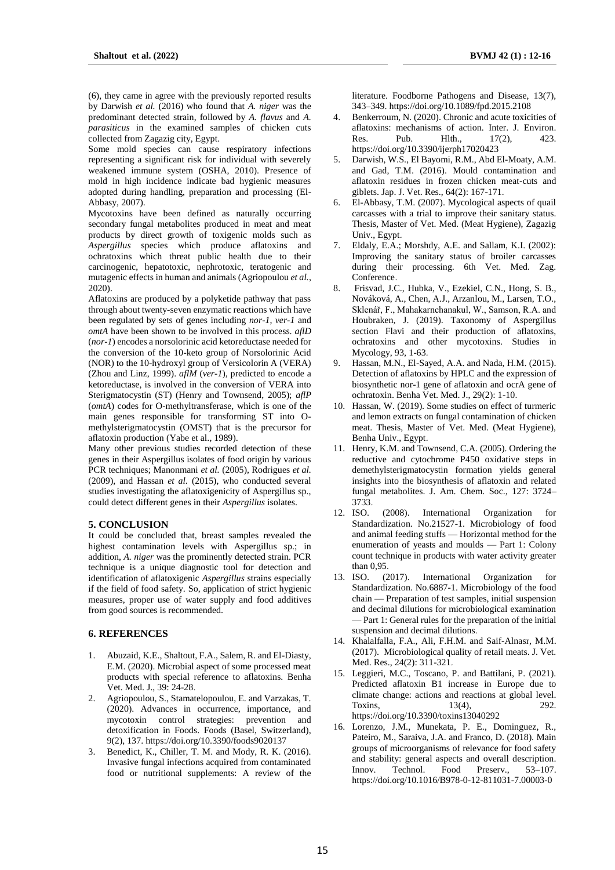(6), they came in agree with the previously reported results by Darwish *et al.* (2016) who found that *A. niger* was the predominant detected strain, followed by *A. flavus* and *A. parasiticus* in the examined samples of chicken cuts collected from Zagazig city, Egypt.

Some mold species can cause respiratory infections representing a significant risk for individual with severely weakened immune system (OSHA, 2010). Presence of mold in high incidence indicate bad hygienic measures adopted during handling, preparation and processing (El-Abbasy, 2007).

Mycotoxins have been defined as naturally occurring secondary fungal metabolites produced in meat and meat products by direct growth of toxigenic molds such as *Aspergillus* species which produce aflatoxins and ochratoxins which threat public health due to their carcinogenic, hepatotoxic, nephrotoxic, teratogenic and mutagenic effects in human and animals (Agriopoulou *et al.*, 2020).

Aflatoxins are produced by a polyketide pathway that pass through about twenty-seven enzymatic reactions which have been regulated by sets of genes including *nor-1, ver-1* and *omtA* have been shown to be involved in this process. *aflD* (*nor-1*) encodes a norsolorinic acid ketoreductase needed for the conversion of the 10-keto group of Norsolorinic Acid (NOR) to the 10-hydroxyl group of Versicolorin A (VERA) (Zhou and Linz, 1999). *aflM* (*ver-1*), predicted to encode a ketoreductase, is involved in the conversion of VERA into Sterigmatocystin (ST) (Henry and Townsend, 2005); *aflP* (*omtA*) codes for O-methyltransferase, which is one of the main genes responsible for transforming ST into Omethylsterigmatocystin (OMST) that is the precursor for aflatoxin production (Yabe et al., 1989).

Many other previous studies recorded detection of these genes in their Aspergillus isolates of food origin by various PCR techniques; Manonmani *et al.* (2005), Rodrigues *et al.*  (2009), and Hassan *et al.* (2015), who conducted several studies investigating the aflatoxigenicity of Aspergillus sp., could detect different genes in their *Aspergillus* isolates.

### **5. CONCLUSION**

It could be concluded that, breast samples revealed the highest contamination levels with Aspergillus sp.; in addition, *A. niger* was the prominently detected strain. PCR technique is a unique diagnostic tool for detection and identification of aflatoxigenic *Aspergillus* strains especially if the field of food safety. So, application of strict hygienic measures, proper use of water supply and food additives from good sources is recommended.

### **6. REFERENCES**

- 1. Abuzaid, K.E., Shaltout, F.A., Salem, R. and El-Diasty, E.M. (2020). Microbial aspect of some processed meat products with special reference to aflatoxins. Benha Vet. Med. J., 39: 24-28.
- 2. Agriopoulou, S., Stamatelopoulou, E. and Varzakas, T. (2020). Advances in occurrence, importance, and mycotoxin control strategies: prevention and detoxification in Foods. Foods (Basel, Switzerland), 9(2), 137. https://doi.org/10.3390/foods9020137
- 3. Benedict, K., Chiller, T. M. and Mody, R. K. (2016). Invasive fungal infections acquired from contaminated food or nutritional supplements: A review of the

literature. Foodborne Pathogens and Disease, 13(7), 343–349. https://doi.org/10.1089/fpd.2015.2108

- 4. Benkerroum, N. (2020). Chronic and acute toxicities of aflatoxins: mechanisms of action. Inter. J. Environ. Res. Pub. Hlth., 17(2), 423. https://doi.org/10.3390/ijerph17020423
- 5. Darwish, W.S., El Bayomi, R.M., Abd El-Moaty, A.M. and Gad, T.M. (2016). Mould contamination and aflatoxin residues in frozen chicken meat-cuts and giblets. Jap. J. Vet. Res., 64(2): 167-171.
- 6. El-Abbasy, T.M. (2007). Mycological aspects of quail carcasses with a trial to improve their sanitary status. Thesis, Master of Vet. Med. (Meat Hygiene), Zagazig Univ., Egypt.
- 7. Eldaly, E.A.; Morshdy, A.E. and Sallam, K.I. (2002): Improving the sanitary status of broiler carcasses during their processing. 6th Vet. Med. Zag. Conference.
- 8. Frisvad, J.C., Hubka, V., Ezekiel, C.N., Hong, S. B., Nováková, A., Chen, A.J., Arzanlou, M., Larsen, T.O., Sklenář, F., Mahakarnchanakul, W., Samson, R.A. and Houbraken, J. (2019). Taxonomy of Aspergillus section Flavi and their production of aflatoxins, ochratoxins and other mycotoxins. Studies in Mycology, 93, 1-63.
- 9. Hassan, M.N., El-Sayed, A.A. and Nada, H.M. (2015). Detection of aflatoxins by HPLC and the expression of biosynthetic nor-1 gene of aflatoxin and ocrA gene of ochratoxin. Benha Vet. Med. J., 29(2): 1-10.
- 10. Hassan, W. (2019). Some studies on effect of turmeric and lemon extracts on fungal contamination of chicken meat. Thesis, Master of Vet. Med. (Meat Hygiene), Benha Univ., Egypt.
- 11. Henry, K.M. and Townsend, C.A. (2005). Ordering the reductive and cytochrome P450 oxidative steps in demethylsterigmatocystin formation yields general insights into the biosynthesis of aflatoxin and related fungal metabolites. J. Am. Chem. Soc., 127: 3724– 3733.
- 12. ISO. (2008). International Organization for Standardization. No.21527-1. Microbiology of food and animal feeding stuffs — Horizontal method for the enumeration of yeasts and moulds — Part 1: Colony count technique in products with water activity greater than 0,95.
- 13. ISO. (2017). International Organization for Standardization. No.6887-1. Microbiology of the food chain — Preparation of test samples, initial suspension and decimal dilutions for microbiological examination — Part 1: General rules for the preparation of the initial suspension and decimal dilutions.
- 14. Khalalfalla, F.A., Ali, F.H.M. and Saif-Alnasr, M.M. (2017). Microbiological quality of retail meats. J. Vet. Med. Res., 24(2): 311-321.
- 15. Leggieri, M.C., Toscano, P. and Battilani, P. (2021). Predicted aflatoxin B1 increase in Europe due to climate change: actions and reactions at global level. Toxins, 13(4), 292. https://doi.org/10.3390/toxins13040292
- 16. Lorenzo, J.M., Munekata, P. E., Dominguez, R., Pateiro, M., Saraiva, J.A. and Franco, D. (2018). Main groups of microorganisms of relevance for food safety and stability: general aspects and overall description. Innov. Technol. Food Preserv., 53–107. https://doi.org/10.1016/B978-0-12-811031-7.00003-0